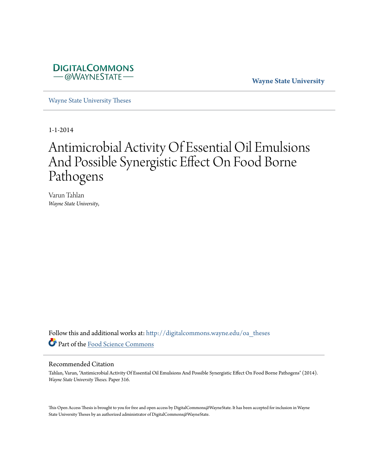

**Wayne State University**

[Wayne State University Theses](http://digitalcommons.wayne.edu/oa_theses?utm_source=digitalcommons.wayne.edu%2Foa_theses%2F316&utm_medium=PDF&utm_campaign=PDFCoverPages)

1-1-2014

# Antimicrobial Activity Of Essential Oil Emulsions And Possible Synergistic Effect On Food Borne Pathogens

Varun Tahlan *Wayne State University*,

Follow this and additional works at: [http://digitalcommons.wayne.edu/oa\\_theses](http://digitalcommons.wayne.edu/oa_theses?utm_source=digitalcommons.wayne.edu%2Foa_theses%2F316&utm_medium=PDF&utm_campaign=PDFCoverPages) Part of the [Food Science Commons](http://network.bepress.com/hgg/discipline/84?utm_source=digitalcommons.wayne.edu%2Foa_theses%2F316&utm_medium=PDF&utm_campaign=PDFCoverPages)

#### Recommended Citation

Tahlan, Varun, "Antimicrobial Activity Of Essential Oil Emulsions And Possible Synergistic Effect On Food Borne Pathogens" (2014). *Wayne State University Theses.* Paper 316.

This Open Access Thesis is brought to you for free and open access by DigitalCommons@WayneState. It has been accepted for inclusion in Wayne State University Theses by an authorized administrator of DigitalCommons@WayneState.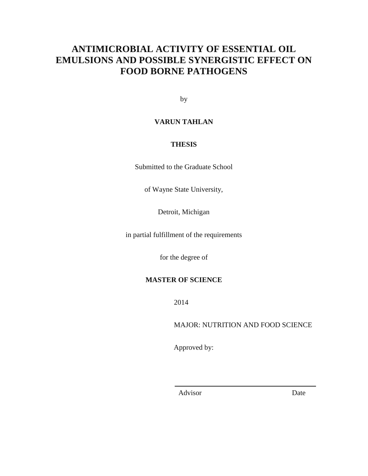# **ANTIMICROBIAL ACTIVITY OF ESSENTIAL OIL EMULSIONS AND POSSIBLE SYNERGISTIC EFFECT ON FOOD BORNE PATHOGENS**

by

#### **VARUN TAHLAN**

#### **THESIS**

Submitted to the Graduate School

of Wayne State University,

Detroit, Michigan

in partial fulfillment of the requirements

for the degree of

#### **MASTER OF SCIENCE**

2014

MAJOR: NUTRITION AND FOOD SCIENCE

Approved by:

Advisor Date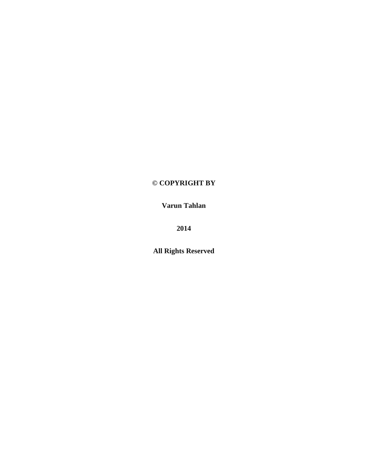### **© COPYRIGHT BY**

**Varun Tahlan** 

**2014** 

**All Rights Reserved**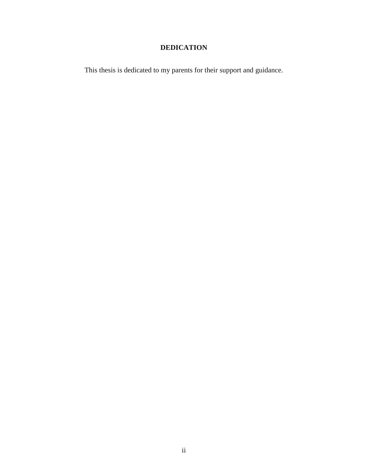### **DEDICATION**

This thesis is dedicated to my parents for their support and guidance.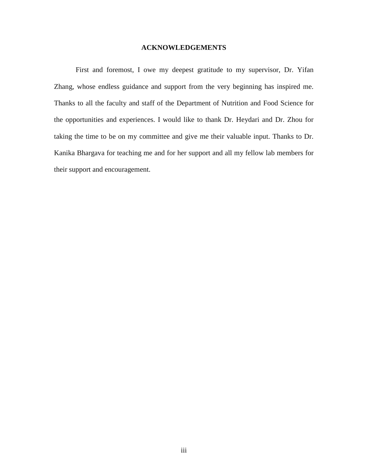#### **ACKNOWLEDGEMENTS**

First and foremost, I owe my deepest gratitude to my supervisor, Dr. Yifan Zhang, whose endless guidance and support from the very beginning has inspired me. Thanks to all the faculty and staff of the Department of Nutrition and Food Science for the opportunities and experiences. I would like to thank Dr. Heydari and Dr. Zhou for taking the time to be on my committee and give me their valuable input. Thanks to Dr. Kanika Bhargava for teaching me and for her support and all my fellow lab members for their support and encouragement.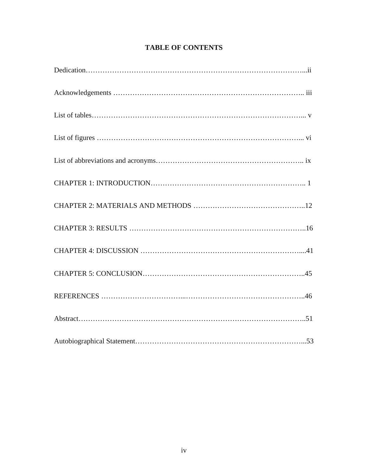### **TABLE OF CONTENTS**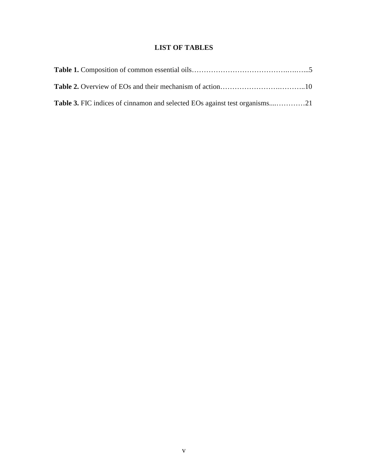### **LIST OF TABLES**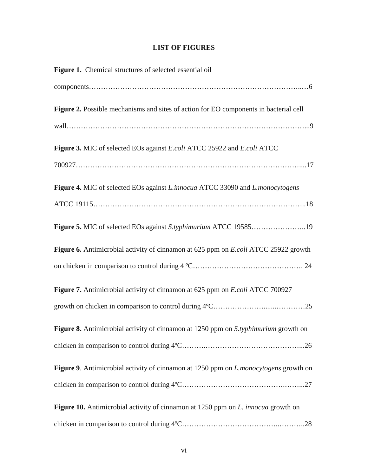### **LIST OF FIGURES**

| Figure 1. Chemical structures of selected essential oil                                     |
|---------------------------------------------------------------------------------------------|
|                                                                                             |
| Figure 2. Possible mechanisms and sites of action for EO components in bacterial cell       |
|                                                                                             |
| Figure 3. MIC of selected EOs against E.coli ATCC 25922 and E.coli ATCC                     |
|                                                                                             |
| Figure 4. MIC of selected EOs against <i>L.innocua</i> ATCC 33090 and <i>L.monocytogens</i> |
|                                                                                             |
|                                                                                             |
| Figure 6. Antimicrobial activity of cinnamon at 625 ppm on E.coli ATCC 25922 growth         |
|                                                                                             |
| Figure 7. Antimicrobial activity of cinnamon at 625 ppm on E.coli ATCC 700927               |
|                                                                                             |
| Figure 8. Antimicrobial activity of cinnamon at 1250 ppm on S.typhimurium growth on         |
|                                                                                             |
| Figure 9. Antimicrobial activity of cinnamon at 1250 ppm on <i>L.monocytogens</i> growth on |
|                                                                                             |
| Figure 10. Antimicrobial activity of cinnamon at 1250 ppm on <i>L. innocua</i> growth on    |
|                                                                                             |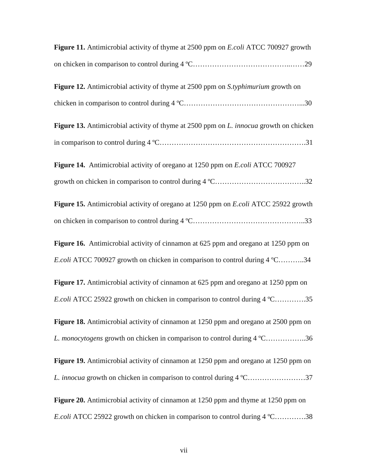| Figure 11. Antimicrobial activity of thyme at 2500 ppm on <i>E.coli</i> ATCC 700927 growth    |
|-----------------------------------------------------------------------------------------------|
|                                                                                               |
| Figure 12. Antimicrobial activity of thyme at 2500 ppm on S.typhimurium growth on             |
|                                                                                               |
| Figure 13. Antimicrobial activity of thyme at 2500 ppm on <i>L. innocua</i> growth on chicken |
|                                                                                               |
| Figure 14. Antimicrobial activity of oregano at 1250 ppm on E.coli ATCC 700927                |
|                                                                                               |
| Figure 15. Antimicrobial activity of oregano at 1250 ppm on <i>E.coli</i> ATCC 25922 growth   |
|                                                                                               |
| Figure 16. Antimicrobial activity of cinnamon at 625 ppm and oregano at 1250 ppm on           |
| E.coli ATCC 700927 growth on chicken in comparison to control during 4 °C34                   |
| Figure 17. Antimicrobial activity of cinnamon at 625 ppm and oregano at 1250 ppm on           |
| E.coli ATCC 25922 growth on chicken in comparison to control during 4 °C35                    |
| Figure 18. Antimicrobial activity of cinnamon at 1250 ppm and oregano at 2500 ppm on          |
| L. monocytogens growth on chicken in comparison to control during 4 °C36                      |
| Figure 19. Antimicrobial activity of cinnamon at 1250 ppm and oregano at 1250 ppm on          |
| L. innocua growth on chicken in comparison to control during 4 °C37                           |
| Figure 20. Antimicrobial activity of cinnamon at 1250 ppm and thyme at 1250 ppm on            |
| E.coli ATCC 25922 growth on chicken in comparison to control during 4 °C38                    |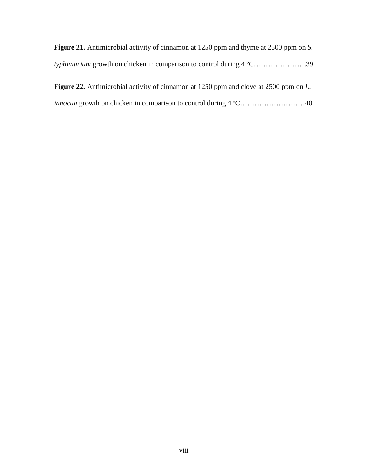| <b>Figure 21.</b> Antimicrobial activity of cinnamon at 1250 ppm and thyme at 2500 ppm on S. |  |
|----------------------------------------------------------------------------------------------|--|
|                                                                                              |  |

**Figure 22.** Antimicrobial activity of cinnamon at 1250 ppm and clove at 2500 ppm on *L. innocua* growth on chicken in comparison to control during 4 °C…………………………40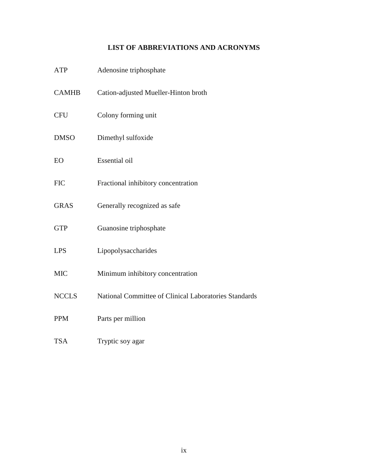### **LIST OF ABBREVIATIONS AND ACRONYMS**

| <b>ATP</b>   | Adenosine triphosphate                                |
|--------------|-------------------------------------------------------|
| <b>CAMHB</b> | Cation-adjusted Mueller-Hinton broth                  |
| <b>CFU</b>   | Colony forming unit                                   |
| <b>DMSO</b>  | Dimethyl sulfoxide                                    |
| EO           | Essential oil                                         |
| <b>FIC</b>   | Fractional inhibitory concentration                   |
| <b>GRAS</b>  | Generally recognized as safe                          |
| <b>GTP</b>   | Guanosine triphosphate                                |
| <b>LPS</b>   | Lipopolysaccharides                                   |
| <b>MIC</b>   | Minimum inhibitory concentration                      |
| <b>NCCLS</b> | National Committee of Clinical Laboratories Standards |
| <b>PPM</b>   | Parts per million                                     |
| <b>TSA</b>   | Tryptic soy agar                                      |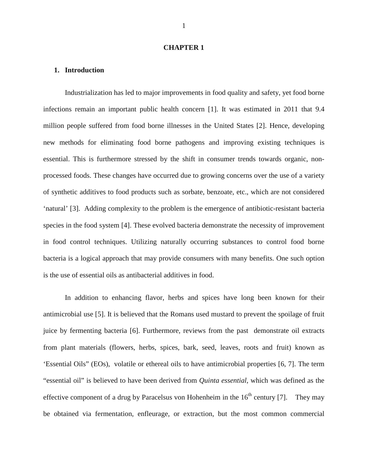#### **CHAPTER 1**

#### **1. Introduction**

Industrialization has led to major improvements in food quality and safety, yet food borne infections remain an important public health concern [1]. It was estimated in 2011 that 9.4 million people suffered from food borne illnesses in the United States [2]. Hence, developing new methods for eliminating food borne pathogens and improving existing techniques is essential. This is furthermore stressed by the shift in consumer trends towards organic, nonprocessed foods. These changes have occurred due to growing concerns over the use of a variety of synthetic additives to food products such as sorbate, benzoate, etc., which are not considered 'natural' [3]. Adding complexity to the problem is the emergence of antibiotic-resistant bacteria species in the food system [4]. These evolved bacteria demonstrate the necessity of improvement in food control techniques. Utilizing naturally occurring substances to control food borne bacteria is a logical approach that may provide consumers with many benefits. One such option is the use of essential oils as antibacterial additives in food.

In addition to enhancing flavor, herbs and spices have long been known for their antimicrobial use [5]. It is believed that the Romans used mustard to prevent the spoilage of fruit juice by fermenting bacteria [6]. Furthermore, reviews from the past demonstrate oil extracts from plant materials (flowers, herbs, spices, bark, seed, leaves, roots and fruit) known as 'Essential Oils" (EOs), volatile or ethereal oils to have antimicrobial properties [6, 7]. The term "essential oil" is believed to have been derived from *Quinta essential*, which was defined as the effective component of a drug by Paracelsus von Hohenheim in the  $16<sup>th</sup>$  century [7]. They may be obtained via fermentation, enfleurage, or extraction, but the most common commercial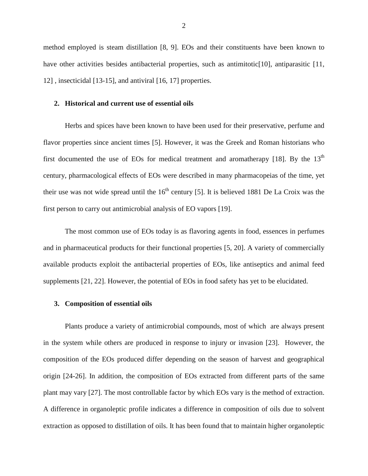method employed is steam distillation [8, 9]. EOs and their constituents have been known to have other activities besides antibacterial properties, such as antimitotic<sup>[10]</sup>, antiparasitic [11, 12] , insecticidal [13-15], and antiviral [16, 17] properties.

#### **2. Historical and current use of essential oils**

Herbs and spices have been known to have been used for their preservative, perfume and flavor properties since ancient times [5]. However, it was the Greek and Roman historians who first documented the use of EOs for medical treatment and aromatherapy [18]. By the  $13<sup>th</sup>$ century, pharmacological effects of EOs were described in many pharmacopeias of the time, yet their use was not wide spread until the  $16<sup>th</sup>$  century [5]. It is believed 1881 De La Croix was the first person to carry out antimicrobial analysis of EO vapors [19].

The most common use of EOs today is as flavoring agents in food, essences in perfumes and in pharmaceutical products for their functional properties [5, 20]. A variety of commercially available products exploit the antibacterial properties of EOs, like antiseptics and animal feed supplements [21, 22]. However, the potential of EOs in food safety has yet to be elucidated.

#### **3. Composition of essential oils**

Plants produce a variety of antimicrobial compounds, most of which are always present in the system while others are produced in response to injury or invasion [23]. However, the composition of the EOs produced differ depending on the season of harvest and geographical origin [24-26]. In addition, the composition of EOs extracted from different parts of the same plant may vary [27]. The most controllable factor by which EOs vary is the method of extraction. A difference in organoleptic profile indicates a difference in composition of oils due to solvent extraction as opposed to distillation of oils. It has been found that to maintain higher organoleptic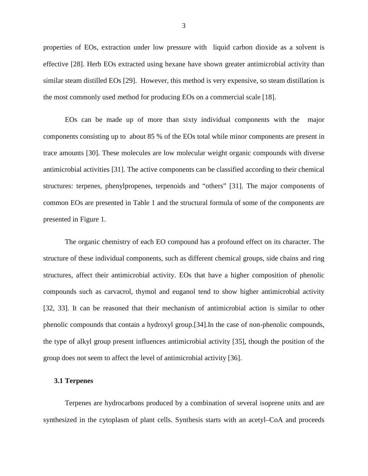properties of EOs, extraction under low pressure with liquid carbon dioxide as a solvent is effective [28]. Herb EOs extracted using hexane have shown greater antimicrobial activity than similar steam distilled EOs [29]. However, this method is very expensive, so steam distillation is the most commonly used method for producing EOs on a commercial scale [18].

EOs can be made up of more than sixty individual components with the major components consisting up to about 85 % of the EOs total while minor components are present in trace amounts [30]. These molecules are low molecular weight organic compounds with diverse antimicrobial activities [31]. The active components can be classified according to their chemical structures: terpenes, phenylpropenes, terpenoids and "others" [31]. The major components of common EOs are presented in Table 1 and the structural formula of some of the components are presented in Figure 1.

The organic chemistry of each EO compound has a profound effect on its character. The structure of these individual components, such as different chemical groups, side chains and ring structures, affect their antimicrobial activity. EOs that have a higher composition of phenolic compounds such as carvacrol, thymol and euganol tend to show higher antimicrobial activity [32, 33]. It can be reasoned that their mechanism of antimicrobial action is similar to other phenolic compounds that contain a hydroxyl group.[34].In the case of non-phenolic compounds, the type of alkyl group present influences antimicrobial activity [35], though the position of the group does not seem to affect the level of antimicrobial activity [36].

#### **3.1 Terpenes**

Terpenes are hydrocarbons produced by a combination of several isoprene units and are synthesized in the cytoplasm of plant cells. Synthesis starts with an acetyl–CoA and proceeds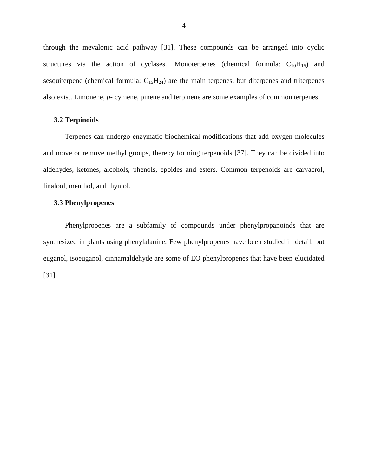through the mevalonic acid pathway [31]. These compounds can be arranged into cyclic structures via the action of cyclases.. Monoterpenes (chemical formula:  $C_{10}H_{16}$ ) and sesquiterpene (chemical formula:  $C_{15}H_{24}$ ) are the main terpenes, but diterpenes and triterpenes also exist. Limonene, *p*- cymene, pinene and terpinene are some examples of common terpenes.

#### **3.2 Terpinoids**

Terpenes can undergo enzymatic biochemical modifications that add oxygen molecules and move or remove methyl groups, thereby forming terpenoids [37]. They can be divided into aldehydes, ketones, alcohols, phenols, epoides and esters. Common terpenoids are carvacrol, linalool, menthol, and thymol.

#### **3.3 Phenylpropenes**

Phenylpropenes are a subfamily of compounds under phenylpropanoinds that are synthesized in plants using phenylalanine. Few phenylpropenes have been studied in detail, but euganol, isoeuganol, cinnamaldehyde are some of EO phenylpropenes that have been elucidated [31].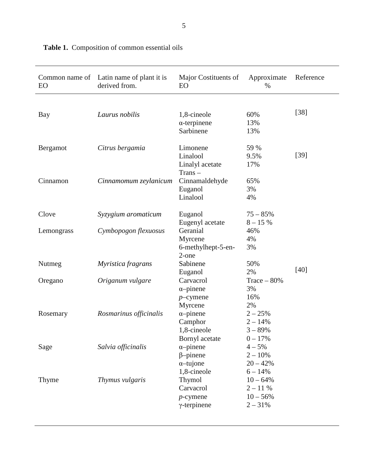| EO         | Common name of Latin name of plant it is<br>derived from. | Major Costituents of<br>EO                                               | Approximate<br>$\%$                                             | Reference |
|------------|-----------------------------------------------------------|--------------------------------------------------------------------------|-----------------------------------------------------------------|-----------|
| Bay        | Laurus nobilis                                            | 1,8-cineole<br>$\alpha$ -terpinene<br>Sarbinene                          | 60%<br>13%<br>13%                                               | $[38]$    |
| Bergamot   | Citrus bergamia                                           | Limonene<br>Linalool<br>Linalyl acetate<br>$Trans -$                     | 59 %<br>9.5%<br>17%                                             | $[39]$    |
| Cinnamon   | Cinnamomum zeylanicum                                     | Cinnamaldehyde<br>Euganol<br>Linalool                                    | 65%<br>3%<br>4%                                                 |           |
| Clove      | Syzygium aromaticum                                       | Euganol<br>Eugenyl acetate                                               | $75 - 85%$<br>$8 - 15%$                                         |           |
| Lemongrass | Cymbopogon flexuosus                                      | Geranial<br>Myrcene<br>6-methylhept-5-en-                                | 46%<br>4%<br>3%                                                 |           |
| Nutmeg     | Myristica fragrans                                        | 2-one<br>Sabinene<br>Euganol                                             | 50%<br>2%                                                       | $[40]$    |
| Oregano    | Origanum vulgare                                          | Carvacrol<br>$\alpha$ -pinene<br>$p$ -cymene<br>Myrcene                  | Trace $-80%$<br>3%<br>16%<br>2%                                 |           |
| Rosemary   | Rosmarinus officinalis                                    | $\alpha$ -pinene<br>Camphor<br>1,8-cineole<br>Bornyl acetate             | $2 - 25%$<br>$2 - 14%$<br>$3 - 89%$<br>$0 - 17%$                |           |
| Sage       | Salvia officinalis                                        | $\alpha$ -pinene<br>$\beta$ -pinene<br>$\alpha$ -tujone                  | $4 - 5%$<br>$2 - 10%$<br>$20 - 42%$                             |           |
| Thyme      | Thymus vulgaris                                           | 1,8-cineole<br>Thymol<br>Carvacrol<br>$p$ -cymene<br>$\gamma$ -terpinene | $6 - 14%$<br>$10 - 64%$<br>$2 - 11%$<br>$10 - 56%$<br>$2 - 31%$ |           |

**Table 1.** Composition of common essential oils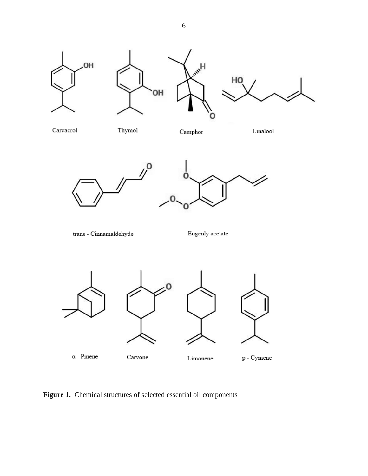



Thymol

Camphor

Linalool





 ${\rm trans}$  -  ${\rm Cinnamaldehyde}$ 

Eugenly acetate



 $\alpha$  - Pinene

Carvone

 $p$  - Cymene

**Figure 1.** Chemical structures of selected essential oil components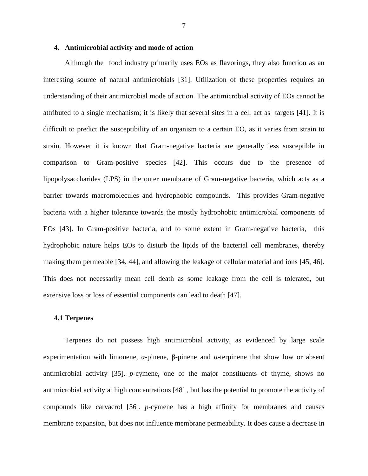#### **4. Antimicrobial activity and mode of action**

Although the food industry primarily uses EOs as flavorings, they also function as an interesting source of natural antimicrobials [31]. Utilization of these properties requires an understanding of their antimicrobial mode of action. The antimicrobial activity of EOs cannot be attributed to a single mechanism; it is likely that several sites in a cell act as targets [41]. It is difficult to predict the susceptibility of an organism to a certain EO, as it varies from strain to strain. However it is known that Gram-negative bacteria are generally less susceptible in comparison to Gram-positive species [42]. This occurs due to the presence of lipopolysaccharides (LPS) in the outer membrane of Gram-negative bacteria, which acts as a barrier towards macromolecules and hydrophobic compounds. This provides Gram-negative bacteria with a higher tolerance towards the mostly hydrophobic antimicrobial components of EOs [43]. In Gram-positive bacteria, and to some extent in Gram-negative bacteria, this hydrophobic nature helps EOs to disturb the lipids of the bacterial cell membranes, thereby making them permeable [34, 44], and allowing the leakage of cellular material and ions [45, 46]. This does not necessarily mean cell death as some leakage from the cell is tolerated, but extensive loss or loss of essential components can lead to death [47].

#### **4.1 Terpenes**

Terpenes do not possess high antimicrobial activity, as evidenced by large scale experimentation with limonene, α-pinene, β-pinene and α-terpinene that show low or absent antimicrobial activity [35]. *p-*cymene, one of the major constituents of thyme, shows no antimicrobial activity at high concentrations [48] *,* but has the potential to promote the activity of compounds like carvacrol [36]. *p*-cymene has a high affinity for membranes and causes membrane expansion, but does not influence membrane permeability. It does cause a decrease in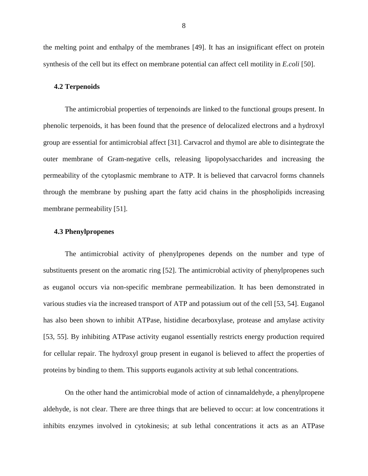the melting point and enthalpy of the membranes [49]. It has an insignificant effect on protein synthesis of the cell but its effect on membrane potential can affect cell motility in *E.coli* [50].

#### **4.2 Terpenoids**

The antimicrobial properties of terpenoinds are linked to the functional groups present. In phenolic terpenoids, it has been found that the presence of delocalized electrons and a hydroxyl group are essential for antimicrobial affect [31]. Carvacrol and thymol are able to disintegrate the outer membrane of Gram-negative cells, releasing lipopolysaccharides and increasing the permeability of the cytoplasmic membrane to ATP. It is believed that carvacrol forms channels through the membrane by pushing apart the fatty acid chains in the phospholipids increasing membrane permeability [51].

#### **4.3 Phenylpropenes**

The antimicrobial activity of phenylpropenes depends on the number and type of substituents present on the aromatic ring [52]. The antimicrobial activity of phenylpropenes such as euganol occurs via non-specific membrane permeabilization. It has been demonstrated in various studies via the increased transport of ATP and potassium out of the cell [53, 54]. Euganol has also been shown to inhibit ATPase, histidine decarboxylase, protease and amylase activity [53, 55]. By inhibiting ATPase activity euganol essentially restricts energy production required for cellular repair. The hydroxyl group present in euganol is believed to affect the properties of proteins by binding to them. This supports euganols activity at sub lethal concentrations.

On the other hand the antimicrobial mode of action of cinnamaldehyde, a phenylpropene aldehyde, is not clear. There are three things that are believed to occur: at low concentrations it inhibits enzymes involved in cytokinesis; at sub lethal concentrations it acts as an ATPase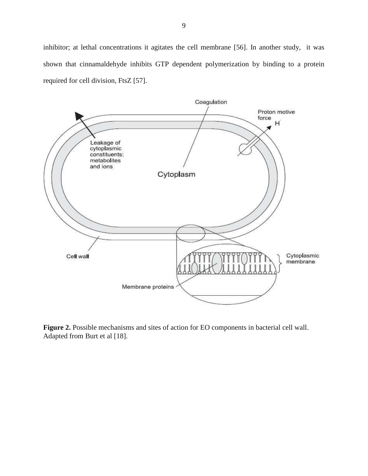inhibitor; at lethal concentrations it agitates the cell membrane [56]. In another study, it was shown that cinnamaldehyde inhibits GTP dependent polymerization by binding to a protein required for cell division, FtsZ [57].



**Figure 2.** Possible mechanisms and sites of action for EO components in bacterial cell wall. Adapted from Burt et al [18].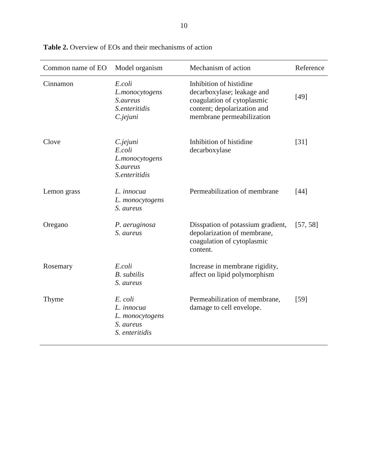| Common name of EO | Model organism                                                          | Mechanism of action                                                                                                                             | Reference |
|-------------------|-------------------------------------------------------------------------|-------------------------------------------------------------------------------------------------------------------------------------------------|-----------|
| Cinnamon          | E.coli<br>L.monocytogens<br>S.aureus<br>S.enteritidis<br>C.jejuni       | Inhibition of histidine<br>decarboxylase; leakage and<br>coagulation of cytoplasmic<br>content; depolarization and<br>membrane permeabilization | [49]      |
| Clove             | C.jejuni<br>E.coli<br>L.monocytogens<br>S.aureus<br>S.enteritidis       | Inhibition of histidine<br>decarboxylase                                                                                                        | $[31]$    |
| Lemon grass       | L. innocua<br>L. monocytogens<br>S. aureus                              | Permeabilization of membrane                                                                                                                    | $[44]$    |
| Oregano           | P. aeruginosa<br>S. aureus                                              | Disspation of potassium gradient,<br>depolarization of membrane,<br>coagulation of cytoplasmic<br>content.                                      | [57, 58]  |
| Rosemary          | E.coli<br><b>B.</b> subtilis<br>S. aureus                               | Increase in membrane rigidity,<br>affect on lipid polymorphism                                                                                  |           |
| Thyme             | E. coli<br>L. innocua<br>L. monocytogens<br>S. aureus<br>S. enteritidis | Permeabilization of membrane,<br>damage to cell envelope.                                                                                       | [59]      |

**Table 2.** Overview of EOs and their mechanisms of action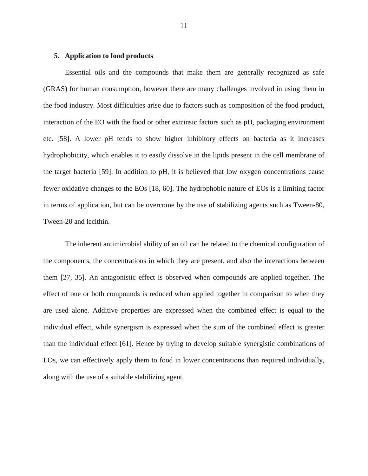#### **5. Application to food products**

Essential oils and the compounds that make them are generally recognized as safe (GRAS) for human consumption, however there are many challenges involved in using them in the food industry. Most difficulties arise due to factors such as composition of the food product, interaction of the EO with the food or other extrinsic factors such as pH, packaging environment etc. [58]. A lower pH tends to show higher inhibitory effects on bacteria as it increases hydrophobicity, which enables it to easily dissolve in the lipids present in the cell membrane of the target bacteria [59]. In addition to pH, it is believed that low oxygen concentrations cause fewer oxidative changes to the EOs [18, 60]. The hydrophobic nature of EOs is a limiting factor in terms of application, but can be overcome by the use of stabilizing agents such as Tween-80, Tween-20 and lecithin.

The inherent antimicrobial ability of an oil can be related to the chemical configuration of the components, the concentrations in which they are present, and also the interactions between them [27, 35]. An antagonistic effect is observed when compounds are applied together. The effect of one or both compounds is reduced when applied together in comparison to when they are used alone. Additive properties are expressed when the combined effect is equal to the individual effect, while synergism is expressed when the sum of the combined effect is greater than the individual effect [61]. Hence by trying to develop suitable synergistic combinations of EOs, we can effectively apply them to food in lower concentrations than required individually, along with the use of a suitable stabilizing agent.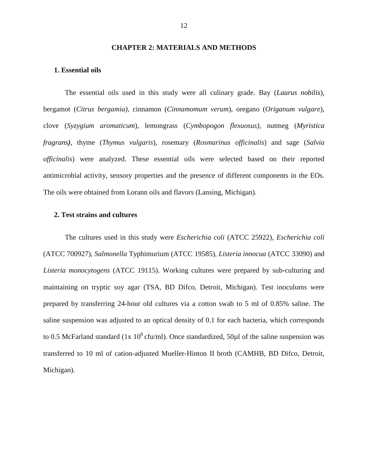#### **CHAPTER 2: MATERIALS AND METHODS**

#### **1. Essential oils**

 The essential oils used in this study were all culinary grade. Bay (*Laurus nobilis*), bergamot (*Citrus bergamia)*, cinnamon (*Cinnamomum verum*), oregano (*Origanum vulgare*), clove (*Syzygium aromaticum*), lemongrass (*Cymbopogon flexuosus)*, nutmeg (*Myristica fragrans)*, thyme (*Thymus vulgaris*), rosemary (*Rosmarinus officinalis*) and sage (*Salvia officinalis*) were analyzed. These essential oils were selected based on their reported antimicrobial activity, sensory properties and the presence of different components in the EOs. The oils were obtained from Lorann oils and flavors (Lansing, Michigan).

#### **2. Test strains and cultures**

 The cultures used in this study were *Escherichia coli* (ATCC 25922), *Escherichia coli*  (ATCC 700927), *Salmonella* Typhimurium (ATCC 19585), *Listeria innocua* (ATCC 33090) and *Listeria monocytogens* (ATCC 19115). Working cultures were prepared by sub-culturing and maintaining on tryptic soy agar (TSA, BD Difco, Detroit, Michigan). Test inoculums were prepared by transferring 24-hour old cultures via a cotton swab to 5 ml of 0.85% saline. The saline suspension was adjusted to an optical density of 0.1 for each bacteria, which corresponds to 0.5 McFarland standard (1x  $10^8$  cfu/ml). Once standardized, 50 $\mu$ l of the saline suspension was transferred to 10 ml of cation-adjusted Mueller-Hinton II broth (CAMHB, BD Difco, Detroit, Michigan).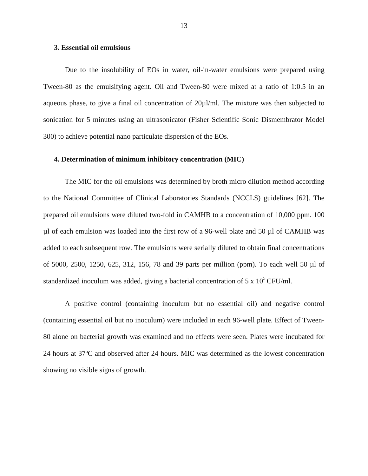#### **3. Essential oil emulsions**

Due to the insolubility of EOs in water, oil-in-water emulsions were prepared using Tween-80 as the emulsifying agent. Oil and Tween-80 were mixed at a ratio of 1:0.5 in an aqueous phase, to give a final oil concentration of  $20\mu$ /ml. The mixture was then subjected to sonication for 5 minutes using an ultrasonicator (Fisher Scientific Sonic Dismembrator Model 300) to achieve potential nano particulate dispersion of the EOs.

#### **4. Determination of minimum inhibitory concentration (MIC)**

The MIC for the oil emulsions was determined by broth micro dilution method according to the National Committee of Clinical Laboratories Standards (NCCLS) guidelines [62]. The prepared oil emulsions were diluted two-fold in CAMHB to a concentration of 10,000 ppm. 100 µl of each emulsion was loaded into the first row of a 96-well plate and 50 µl of CAMHB was added to each subsequent row. The emulsions were serially diluted to obtain final concentrations of 5000, 2500, 1250, 625, 312, 156, 78 and 39 parts per million (ppm). To each well 50 µl of standardized inoculum was added, giving a bacterial concentration of 5 x  $10^5$  CFU/ml.

A positive control (containing inoculum but no essential oil) and negative control (containing essential oil but no inoculum) were included in each 96-well plate. Effect of Tween-80 alone on bacterial growth was examined and no effects were seen. Plates were incubated for 24 hours at 37ºC and observed after 24 hours. MIC was determined as the lowest concentration showing no visible signs of growth.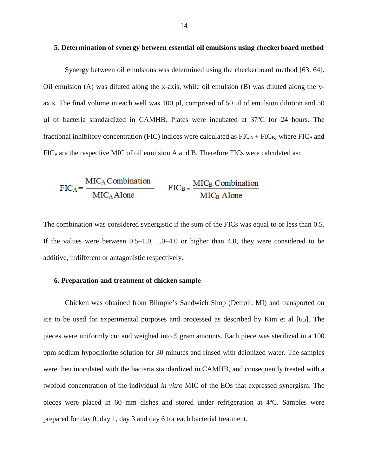#### **5. Determination of synergy between essential oil emulsions using checkerboard method**

Synergy between oil emulsions was determined using the checkerboard method [63, 64]. Oil emulsion (A) was diluted along the x-axis, while oil emulsion  $(B)$  was diluted along the yaxis. The final volume in each well was 100  $\mu$ l, comprised of 50  $\mu$ l of emulsion dilution and 50 µl of bacteria standardized in CAMHB. Plates were incubated at 37ºC for 24 hours. The fractional inhibitory concentration (FIC) indices were calculated as  $FIC_A + FIC_B$ , where  $FIC_A$  and  $FIC<sub>B</sub>$  are the respective MIC of oil emulsion A and B. Therefore FICs were calculated as:

$$
FIC_A = \frac{MIC_A Combination}{MIC_A Alone}
$$
 
$$
FIC_B = \frac{MIC_B Combination}{MIC_B Alone}
$$

The combination was considered synergistic if the sum of the FICs was equal to or less than 0.5. If the values were between 0.5–1.0, 1.0–4.0 or higher than 4.0, they were considered to be additive, indifferent or antagonistic respectively.

#### **6. Preparation and treatment of chicken sample**

Chicken was obtained from Blimpie's Sandwich Shop (Detroit, MI) and transported on ice to be used for experimental purposes and processed as described by Kim et al [65]. The pieces were uniformly cut and weighed into 5 gram amounts. Each piece was sterilized in a 100 ppm sodium hypochlorite solution for 30 minutes and rinsed with deionized water. The samples were then inoculated with the bacteria standardized in CAMHB, and consequently treated with a twofold concentration of the individual *in vitro* MIC of the EOs that expressed synergism. The pieces were placed in 60 mm dishes and stored under refrigeration at 4ºC. Samples were prepared for day 0, day 1, day 3 and day 6 for each bacterial treatment.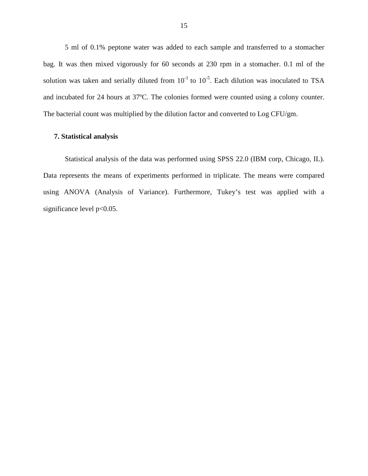5 ml of 0.1% peptone water was added to each sample and transferred to a stomacher bag. It was then mixed vigorously for 60 seconds at 230 rpm in a stomacher. 0.1 ml of the solution was taken and serially diluted from  $10^{-1}$  to  $10^{-5}$ . Each dilution was inoculated to TSA and incubated for 24 hours at 37ºC. The colonies formed were counted using a colony counter. The bacterial count was multiplied by the dilution factor and converted to Log CFU/gm.

#### **7. Statistical analysis**

Statistical analysis of the data was performed using SPSS 22.0 (IBM corp, Chicago, IL). Data represents the means of experiments performed in triplicate. The means were compared using ANOVA (Analysis of Variance). Furthermore, Tukey's test was applied with a significance level  $p<0.05$ .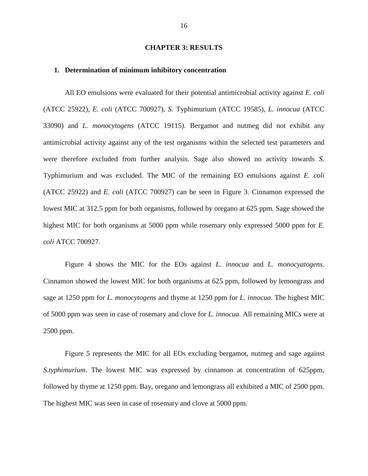#### **CHAPTER 3: RESULTS**

#### **1. Determination of minimum inhibitory concentration**

All EO emulsions were evaluated for their potential antimicrobial activity against *E. coli*  (ATCC 25922), *E. coli* (ATCC 700927), *S.* Typhimurium (ATCC 19585), *L. innocua* (ATCC 33090) and *L. monocytogens* (ATCC 19115). Bergamot and nutmeg did not exhibit any antimicrobial activity against any of the test organisms within the selected test parameters and were therefore excluded from further analysis. Sage also showed no activity towards *S.*  Typhimurium and was excluded. The MIC of the remaining EO emulsions against *E. coli*  (ATCC 25922) and *E. coli* (ATCC 700927) can be seen in Figure 3. Cinnamon expressed the lowest MIC at 312.5 ppm for both organisms, followed by oregano at 625 ppm. Sage showed the highest MIC for both organisms at 5000 ppm while rosemary only expressed 5000 ppm for *E. coli* ATCC 700927.

 Figure 4 shows the MIC for the EOs against *L. innocua* and *L. monocyatogens*. Cinnamon showed the lowest MIC for both organisms at 625 ppm, followed by lemongrass and sage at 1250 ppm for *L. monocytogens* and thyme at 1250 ppm for *L. innocua*. The highest MIC of 5000 ppm was seen in case of rosemary and clove for *L. innocua*. All remaining MICs were at 2500 ppm.

 Figure 5 represents the MIC for all EOs excluding bergamot, nutmeg and sage against *S.typhimurium*. The lowest MIC was expressed by cinnamon at concentration of 625ppm, followed by thyme at 1250 ppm. Bay, oregano and lemongrass all exhibited a MIC of 2500 ppm. The highest MIC was seen in case of rosemary and clove at 5000 ppm.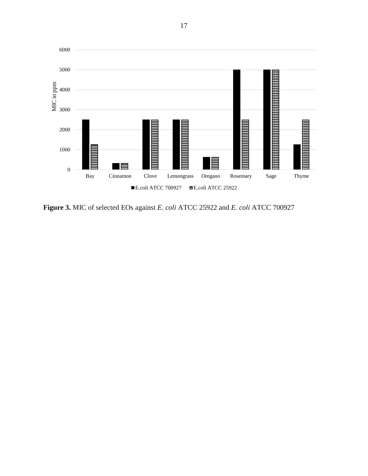

**Figure 3.** MIC of selected EOs against *E. coli* ATCC 25922 and *E. coli* ATCC 700927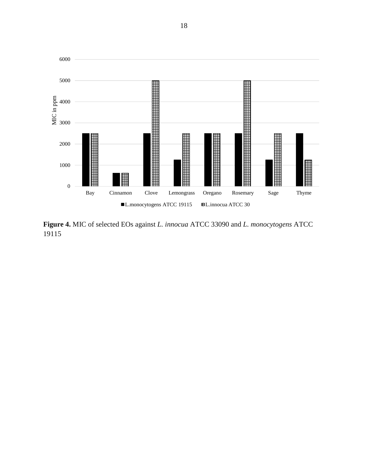

**Figure 4.** MIC of selected EOs against *L. innocua* ATCC 33090 and *L. monocytogens* ATCC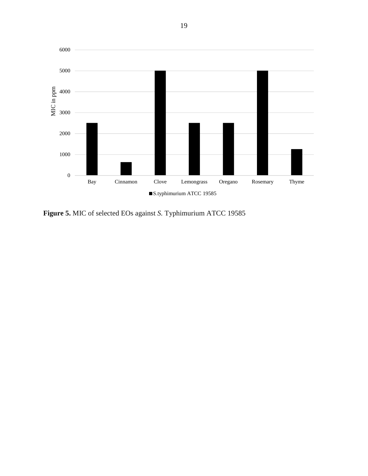

**Figure 5.** MIC of selected EOs against *S.* Typhimurium ATCC 19585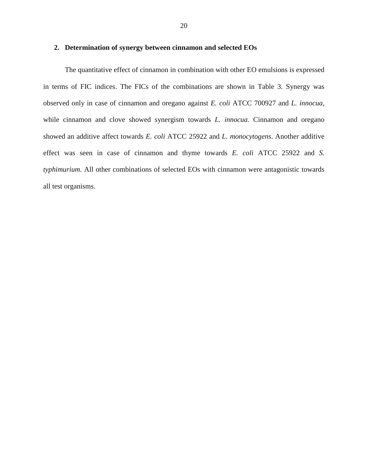#### **2. Determination of synergy between cinnamon and selected EOs**

The quantitative effect of cinnamon in combination with other EO emulsions is expressed in terms of FIC indices. The FICs of the combinations are shown in Table 3. Synergy was observed only in case of cinnamon and oregano against *E. coli* ATCC 700927 and *L. innocua*, while cinnamon and clove showed synergism towards *L. innocua*. Cinnamon and oregano showed an additive affect towards *E. coli* ATCC 25922 and *L. monocytogens*. Another additive effect was seen in case of cinnamon and thyme towards *E. coli* ATCC 25922 and *S. typhimurium*. All other combinations of selected EOs with cinnamon were antagonistic towards all test organisms.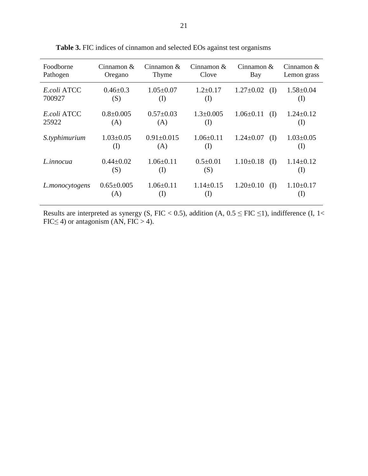| Foodborne      | Cinnamon $\&$    | Cinnamon $\&$    | Cinnamon $\&$   | Cinnamon $&$    | Cinnamon $&$    |
|----------------|------------------|------------------|-----------------|-----------------|-----------------|
| Pathogen       | Oregano          | Thyme            | Clove           | Bay             | Lemon grass     |
| E.coli ATCC    | $0.46 \pm 0.3$   | $1.05 \pm 0.07$  | $1.2 \pm 0.17$  | $1.27 \pm 0.02$ | $1.58 \pm 0.04$ |
| 700927         | (S)              | (I)              | (I)             | (I)             | (I)             |
| E.coli ATCC    | $0.8 \pm 0.005$  | $0.57 \pm 0.03$  | $1.3 \pm 0.005$ | $1.06 \pm 0.11$ | $1.24 \pm 0.12$ |
| 25922          | (A)              | (A)              | (I)             | (I)             | (I)             |
| S.typhimurium  | $1.03 \pm 0.05$  | $0.91 \pm 0.015$ | $1.06 \pm 0.11$ | $1.24 \pm 0.07$ | $1.03 \pm 0.05$ |
|                | (I)              | (A)              | (I)             | (I)             | (I)             |
| L.innocua      | $0.44 \pm 0.02$  | $1.06 \pm 0.11$  | $0.5 \pm 0.01$  | $1.10\pm0.18$   | $1.14 \pm 0.12$ |
|                | (S)              | (I)              | (S)             | (I)             | (I)             |
| L.monocytogens | $0.65 \pm 0.005$ | $1.06 \pm 0.11$  | $1.14\pm0.15$   | $1.20 \pm 0.10$ | $1.10 \pm 0.17$ |
|                | (A)              | (I)              | (I)             | (I)             | $\rm(I)$        |

**Table 3.** FIC indices of cinnamon and selected EOs against test organisms

Results are interpreted as synergy (S, FIC < 0.5), addition (A,  $0.5 \le FIC \le 1$ ), indifference (I, 1< FIC $\leq$  4) or antagonism (AN, FIC  $>$  4).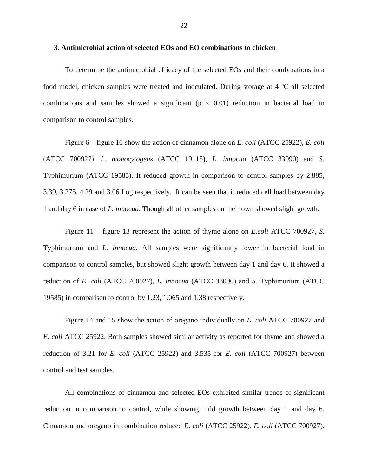#### **3. Antimicrobial action of selected EOs and EO combinations to chicken**

 To determine the antimicrobial efficacy of the selected EOs and their combinations in a food model, chicken samples were treated and inoculated. During storage at 4 ºC all selected combinations and samples showed a significant  $(p < 0.01)$  reduction in bacterial load in comparison to control samples.

Figure 6 – figure 10 show the action of cinnamon alone on *E. coli* (ATCC 25922), *E. coli* (ATCC 700927), *L. monocytogens* (ATCC 19115), *L. innocua* (ATCC 33090) and *S.*  Typhimurium (ATCC 19585). It reduced growth in comparison to control samples by 2.885, 3.39, 3.275, 4.29 and 3.06 Log respectively. It can be seen that it reduced cell load between day 1 and day 6 in case of *L. innocua*. Though all other samples on their own showed slight growth.

Figure 11 – figure 13 represent the action of thyme alone on *E.coli* ATCC 700927, *S.*  Typhimurium and *L. innocua.* All samples were significantly lower in bacterial load in comparison to control samples, but showed slight growth between day 1 and day 6. It showed a reduction of *E. coli* (ATCC 700927), *L. innocua* (ATCC 33090) and *S.* Typhimurium (ATCC 19585) in comparison to control by 1.23, 1.065 and 1.38 respectively.

Figure 14 and 15 show the action of oregano individually on *E. coli* ATCC 700927 and *E. coli* ATCC 25922. Both samples showed similar activity as reported for thyme and showed a reduction of 3.21 for *E. coli* (ATCC 25922) and 3.535 for *E. coli* (ATCC 700927) between control and test samples.

All combinations of cinnamon and selected EOs exhibited similar trends of significant reduction in comparison to control, while showing mild growth between day 1 and day 6. Cinnamon and oregano in combination reduced *E. coli* (ATCC 25922), *E. coli* (ATCC 700927),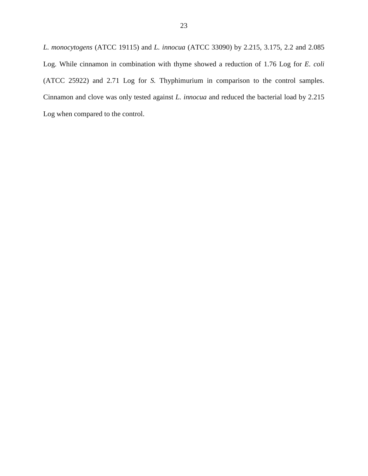*L. monocytogens* (ATCC 19115) and *L. innocua* (ATCC 33090) by 2.215, 3.175, 2.2 and 2.085 Log. While cinnamon in combination with thyme showed a reduction of 1.76 Log for *E. coli*  (ATCC 25922) and 2.71 Log for *S.* Thyphimurium in comparison to the control samples. Cinnamon and clove was only tested against *L. innocua* and reduced the bacterial load by 2.215 Log when compared to the control.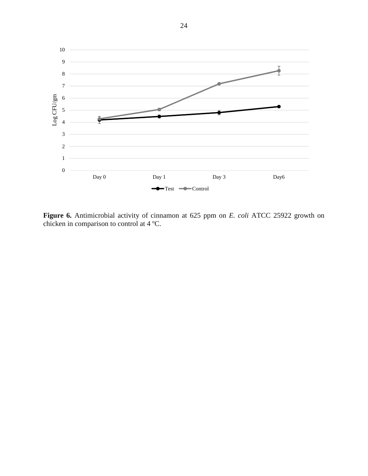

**Figure 6.** Antimicrobial activity of cinnamon at 625 ppm on *E. coli* ATCC 25922 growth on chicken in comparison to control at 4 ºC.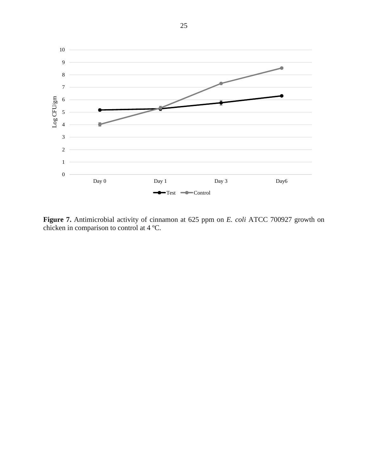

**Figure 7.** Antimicrobial activity of cinnamon at 625 ppm on *E. coli* ATCC 700927 growth on chicken in comparison to control at 4 ºC.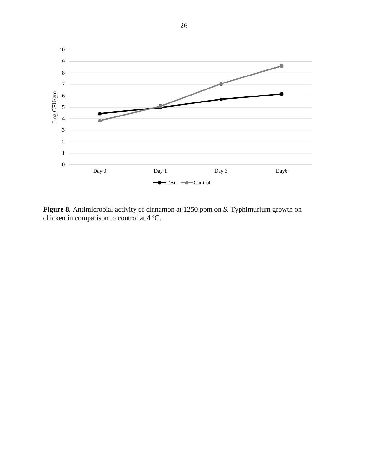

**Figure 8.** Antimicrobial activity of cinnamon at 1250 ppm on *S.* Typhimurium growth on chicken in comparison to control at 4 ºC.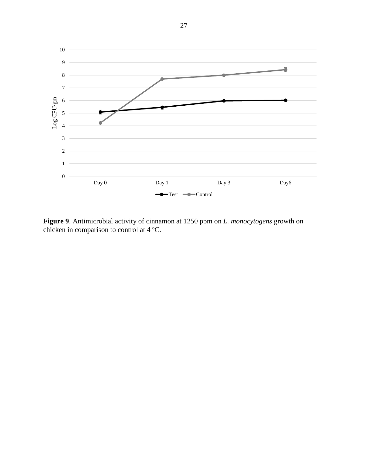

**Figure 9**. Antimicrobial activity of cinnamon at 1250 ppm on *L. monocytogens* growth on chicken in comparison to control at 4 ºC.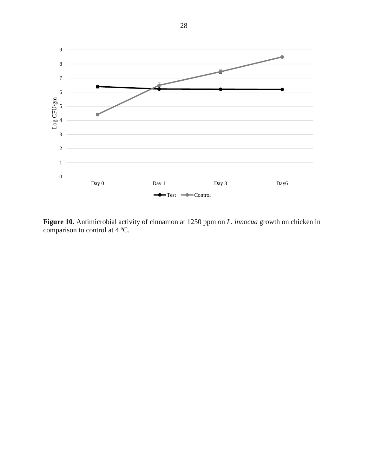

**Figure 10.** Antimicrobial activity of cinnamon at 1250 ppm on *L. innocua* growth on chicken in comparison to control at 4 ºC.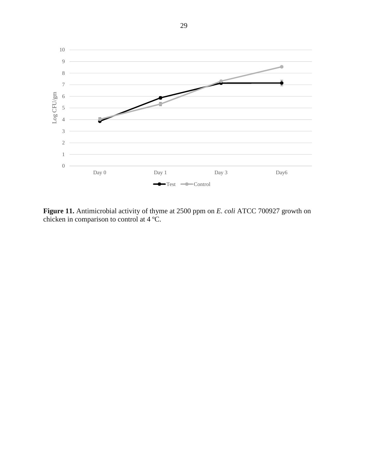

**Figure 11.** Antimicrobial activity of thyme at 2500 ppm on *E. coli* ATCC 700927 growth on chicken in comparison to control at 4 ºC.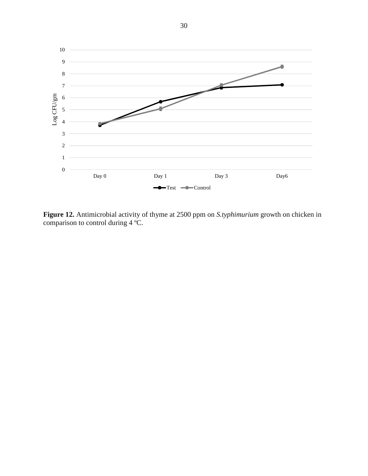

**Figure 12.** Antimicrobial activity of thyme at 2500 ppm on *S.typhimurium* growth on chicken in comparison to control during 4 ºC.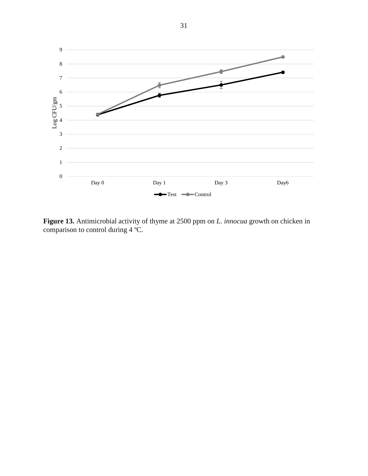

**Figure 13.** Antimicrobial activity of thyme at 2500 ppm on *L. innocua* growth on chicken in comparison to control during 4 ºC.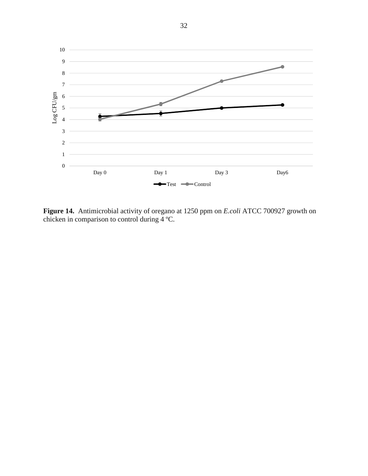

**Figure 14.** Antimicrobial activity of oregano at 1250 ppm on *E.coli* ATCC 700927 growth on chicken in comparison to control during 4 ºC.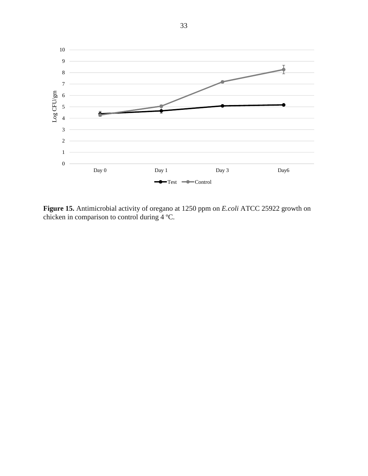

**Figure 15.** Antimicrobial activity of oregano at 1250 ppm on *E.coli* ATCC 25922 growth on chicken in comparison to control during 4 ºC.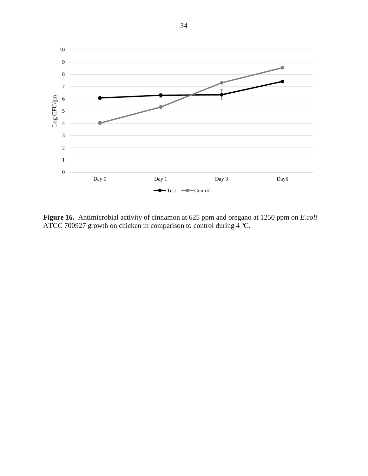

**Figure 16.** Antimicrobial activity of cinnamon at 625 ppm and oregano at 1250 ppm on *E.coli*  ATCC 700927 growth on chicken in comparison to control during 4 ºC.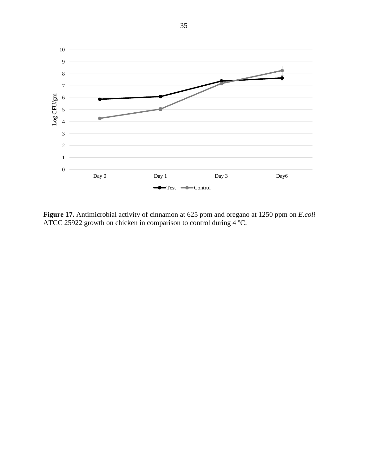

**Figure 17.** Antimicrobial activity of cinnamon at 625 ppm and oregano at 1250 ppm on *E.coli*  ATCC 25922 growth on chicken in comparison to control during 4 ºC.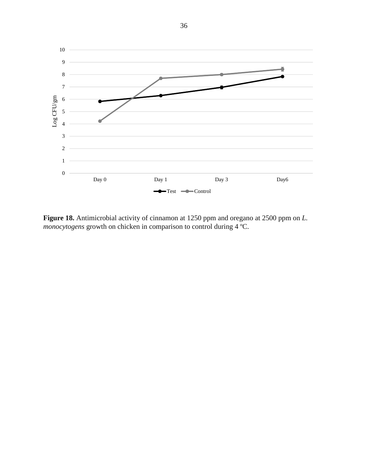

**Figure 18.** Antimicrobial activity of cinnamon at 1250 ppm and oregano at 2500 ppm on *L. monocytogens* growth on chicken in comparison to control during 4 ºC.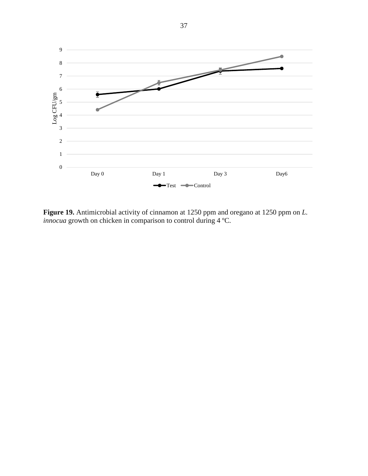

**Figure 19.** Antimicrobial activity of cinnamon at 1250 ppm and oregano at 1250 ppm on *L. innocua* growth on chicken in comparison to control during 4 ºC.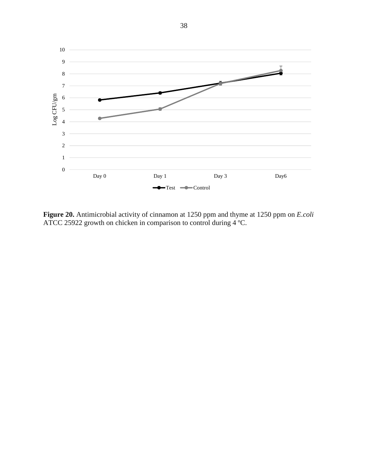

**Figure 20.** Antimicrobial activity of cinnamon at 1250 ppm and thyme at 1250 ppm on *E.coli*  ATCC 25922 growth on chicken in comparison to control during  $4^{\circ}$ C.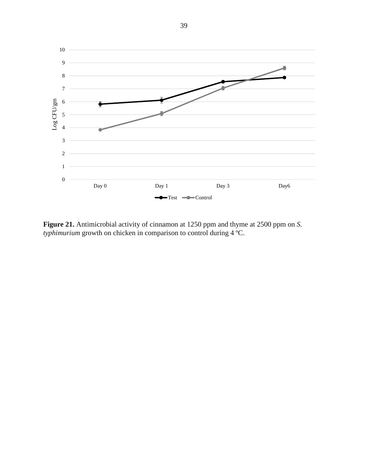

**Figure 21.** Antimicrobial activity of cinnamon at 1250 ppm and thyme at 2500 ppm on *S. typhimurium* growth on chicken in comparison to control during 4 ºC.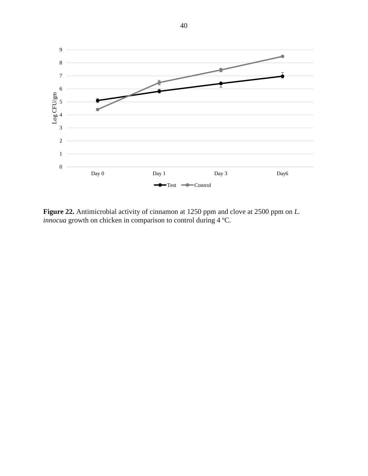

**Figure 22.** Antimicrobial activity of cinnamon at 1250 ppm and clove at 2500 ppm on *L. innocua* growth on chicken in comparison to control during 4 ºC.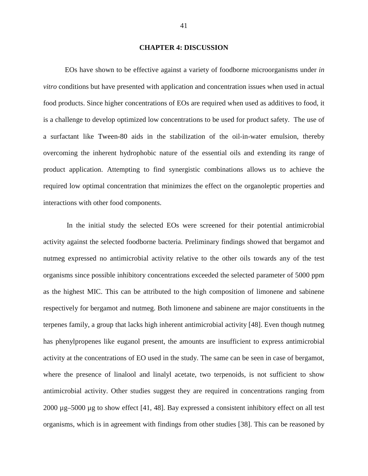#### **CHAPTER 4: DISCUSSION**

EOs have shown to be effective against a variety of foodborne microorganisms under *in vitro* conditions but have presented with application and concentration issues when used in actual food products. Since higher concentrations of EOs are required when used as additives to food, it is a challenge to develop optimized low concentrations to be used for product safety. The use of a surfactant like Tween-80 aids in the stabilization of the oil-in-water emulsion, thereby overcoming the inherent hydrophobic nature of the essential oils and extending its range of product application. Attempting to find synergistic combinations allows us to achieve the required low optimal concentration that minimizes the effect on the organoleptic properties and interactions with other food components.

 In the initial study the selected EOs were screened for their potential antimicrobial activity against the selected foodborne bacteria. Preliminary findings showed that bergamot and nutmeg expressed no antimicrobial activity relative to the other oils towards any of the test organisms since possible inhibitory concentrations exceeded the selected parameter of 5000 ppm as the highest MIC. This can be attributed to the high composition of limonene and sabinene respectively for bergamot and nutmeg. Both limonene and sabinene are major constituents in the terpenes family, a group that lacks high inherent antimicrobial activity [48]. Even though nutmeg has phenylpropenes like euganol present, the amounts are insufficient to express antimicrobial activity at the concentrations of EO used in the study. The same can be seen in case of bergamot, where the presence of linalool and linalyl acetate, two terpenoids, is not sufficient to show antimicrobial activity. Other studies suggest they are required in concentrations ranging from 2000 µg–5000 µg to show effect [41, 48]. Bay expressed a consistent inhibitory effect on all test organisms, which is in agreement with findings from other studies [38]. This can be reasoned by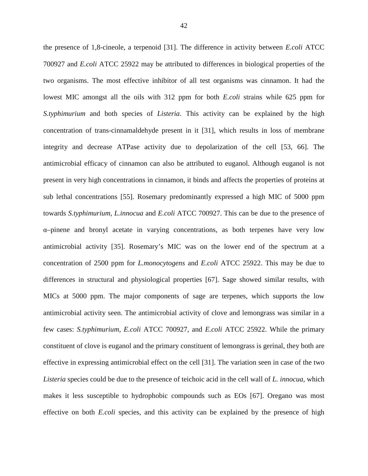the presence of 1,8-cineole, a terpenoid [31]. The difference in activity between *E.coli* ATCC 700927 and *E.coli* ATCC 25922 may be attributed to differences in biological properties of the two organisms. The most effective inhibitor of all test organisms was cinnamon. It had the lowest MIC amongst all the oils with 312 ppm for both *E.coli* strains while 625 ppm for *S.typhimurium* and both species of *Listeria*. This activity can be explained by the high concentration of trans-cinnamaldehyde present in it [31], which results in loss of membrane integrity and decrease ATPase activity due to depolarization of the cell [53, 66]. The antimicrobial efficacy of cinnamon can also be attributed to euganol. Although euganol is not present in very high concentrations in cinnamon, it binds and affects the properties of proteins at sub lethal concentrations [55]. Rosemary predominantly expressed a high MIC of 5000 ppm towards *S.typhimurium*, *L.innocua* and *E.coli* ATCC 700927. This can be due to the presence of α–pinene and bronyl acetate in varying concentrations, as both terpenes have very low antimicrobial activity [35]. Rosemary's MIC was on the lower end of the spectrum at a concentration of 2500 ppm for *L.monocytogens* and *E.coli* ATCC 25922. This may be due to differences in structural and physiological properties [67]. Sage showed similar results, with MICs at 5000 ppm. The major components of sage are terpenes, which supports the low antimicrobial activity seen. The antimicrobial activity of clove and lemongrass was similar in a few cases: *S.typhimurium, E.coli* ATCC 700927, and *E.coli* ATCC 25922. While the primary constituent of clove is euganol and the primary constituent of lemongrass is gerinal, they both are effective in expressing antimicrobial effect on the cell [31]. The variation seen in case of the two *Listeria* species could be due to the presence of teichoic acid in the cell wall of *L. innocua,* which makes it less susceptible to hydrophobic compounds such as EOs [67]. Oregano was most effective on both *E.coli* species, and this activity can be explained by the presence of high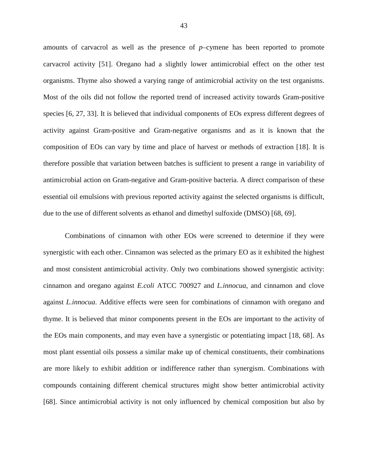amounts of carvacrol as well as the presence of *p*–cymene has been reported to promote carvacrol activity [51]. Oregano had a slightly lower antimicrobial effect on the other test organisms. Thyme also showed a varying range of antimicrobial activity on the test organisms. Most of the oils did not follow the reported trend of increased activity towards Gram-positive species [6, 27, 33]. It is believed that individual components of EOs express different degrees of activity against Gram-positive and Gram-negative organisms and as it is known that the composition of EOs can vary by time and place of harvest or methods of extraction [18]. It is therefore possible that variation between batches is sufficient to present a range in variability of antimicrobial action on Gram-negative and Gram-positive bacteria. A direct comparison of these essential oil emulsions with previous reported activity against the selected organisms is difficult, due to the use of different solvents as ethanol and dimethyl sulfoxide (DMSO) [68, 69].

Combinations of cinnamon with other EOs were screened to determine if they were synergistic with each other. Cinnamon was selected as the primary EO as it exhibited the highest and most consistent antimicrobial activity. Only two combinations showed synergistic activity: cinnamon and oregano against *E.coli* ATCC 700927 and *L.innocua*, and cinnamon and clove against *L.innocua*. Additive effects were seen for combinations of cinnamon with oregano and thyme. It is believed that minor components present in the EOs are important to the activity of the EOs main components, and may even have a synergistic or potentiating impact [18, 68]. As most plant essential oils possess a similar make up of chemical constituents, their combinations are more likely to exhibit addition or indifference rather than synergism. Combinations with compounds containing different chemical structures might show better antimicrobial activity [68]. Since antimicrobial activity is not only influenced by chemical composition but also by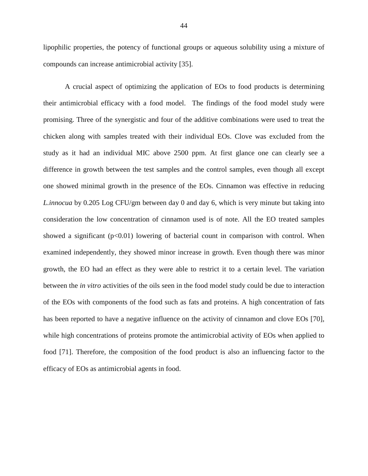lipophilic properties, the potency of functional groups or aqueous solubility using a mixture of compounds can increase antimicrobial activity [35].

A crucial aspect of optimizing the application of EOs to food products is determining their antimicrobial efficacy with a food model. The findings of the food model study were promising. Three of the synergistic and four of the additive combinations were used to treat the chicken along with samples treated with their individual EOs. Clove was excluded from the study as it had an individual MIC above 2500 ppm. At first glance one can clearly see a difference in growth between the test samples and the control samples, even though all except one showed minimal growth in the presence of the EOs. Cinnamon was effective in reducing *L.innocua* by 0.205 Log CFU/gm between day 0 and day 6, which is very minute but taking into consideration the low concentration of cinnamon used is of note. All the EO treated samples showed a significant  $(p<0.01)$  lowering of bacterial count in comparison with control. When examined independently, they showed minor increase in growth. Even though there was minor growth, the EO had an effect as they were able to restrict it to a certain level. The variation between the *in vitro* activities of the oils seen in the food model study could be due to interaction of the EOs with components of the food such as fats and proteins. A high concentration of fats has been reported to have a negative influence on the activity of cinnamon and clove EOs [70], while high concentrations of proteins promote the antimicrobial activity of EOs when applied to food [71]. Therefore, the composition of the food product is also an influencing factor to the efficacy of EOs as antimicrobial agents in food.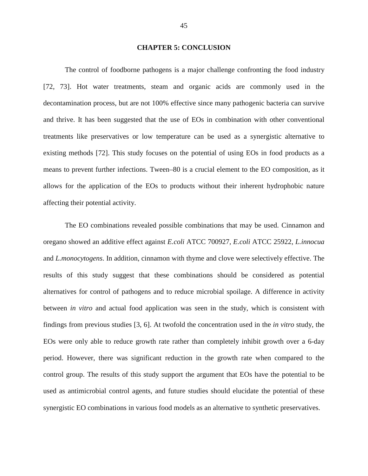#### **CHAPTER 5: CONCLUSION**

 The control of foodborne pathogens is a major challenge confronting the food industry [72, 73]. Hot water treatments, steam and organic acids are commonly used in the decontamination process, but are not 100% effective since many pathogenic bacteria can survive and thrive. It has been suggested that the use of EOs in combination with other conventional treatments like preservatives or low temperature can be used as a synergistic alternative to existing methods [72]. This study focuses on the potential of using EOs in food products as a means to prevent further infections. Tween–80 is a crucial element to the EO composition, as it allows for the application of the EOs to products without their inherent hydrophobic nature affecting their potential activity.

 The EO combinations revealed possible combinations that may be used. Cinnamon and oregano showed an additive effect against *E.coli* ATCC 700927*, E.coli* ATCC 25922*, L.innocua*  and *L.monocytogens*. In addition, cinnamon with thyme and clove were selectively effective. The results of this study suggest that these combinations should be considered as potential alternatives for control of pathogens and to reduce microbial spoilage. A difference in activity between *in vitro* and actual food application was seen in the study, which is consistent with findings from previous studies [3, 6]. At twofold the concentration used in the *in vitro* study, the EOs were only able to reduce growth rate rather than completely inhibit growth over a 6-day period. However, there was significant reduction in the growth rate when compared to the control group. The results of this study support the argument that EOs have the potential to be used as antimicrobial control agents, and future studies should elucidate the potential of these synergistic EO combinations in various food models as an alternative to synthetic preservatives.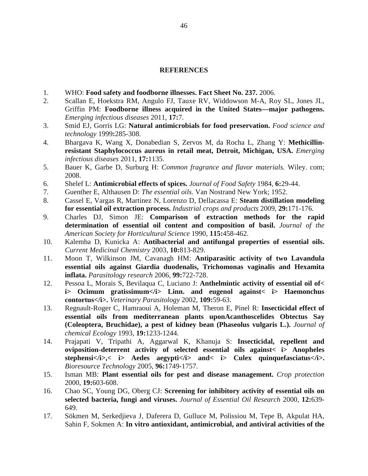#### **REFERENCES**

- 1. WHO: **Food safety and foodborne illnesses. Fact Sheet No. 237.** 2006.
- 2. Scallan E, Hoekstra RM, Angulo FJ, Tauxe RV, Widdowson M-A, Roy SL, Jones JL, Griffin PM: **Foodborne illness acquired in the United States—major pathogens.** *Emerging infectious diseases* 2011, **17:**7.
- 3. Smid EJ, Gorris LG: **Natural antimicrobials for food preservation.** *Food science and technology* 1999**:**285-308.
- 4. Bhargava K, Wang X, Donabedian S, Zervos M, da Rocha L, Zhang Y: **Methicillinresistant Staphylococcus aureus in retail meat, Detroit, Michigan, USA.** *Emerging infectious diseases* 2011, **17:**1135.
- 5. Bauer K, Garbe D, Surburg H: *Common fragrance and flavor materials.* Wiley. com; 2008.
- 6. Shelef L: **Antimicrobial effects of spices.** *Journal of Food Safety* 1984, **6:**29-44.
- 7. Guenther E, Althausen D: *The essential oils.* Van Nostrand New York; 1952.
- 8. Cassel E, Vargas R, Martinez N, Lorenzo D, Dellacassa E: **Steam distillation modeling for essential oil extraction process.** *Industrial crops and products* 2009, **29:**171-176.
- 9. Charles DJ, Simon JE: **Comparison of extraction methods for the rapid determination of essential oil content and composition of basil.** *Journal of the American Society for Horticultural Science* 1990, **115:**458-462.
- 10. Kalemba D, Kunicka A: **Antibacterial and antifungal properties of essential oils.** *Current Medicinal Chemistry* 2003, **10:**813-829.
- 11. Moon T, Wilkinson JM, Cavanagh HM: **Antiparasitic activity of two Lavandula essential oils against Giardia duodenalis, Trichomonas vaginalis and Hexamita inflata.** *Parasitology research* 2006, **99:**722-728.
- 12. Pessoa L, Morais S, Bevilaqua C, Luciano J: **Anthelmintic activity of essential oil of< i>** Ocimum gratissimum</i> Linn. and eugenol against< i> Haemonchus **contortus</i>.** *Veterinary Parasitology* 2002, **109:**59-63.
- 13. Regnault-Roger C, Hamraoui A, Holeman M, Theron E, Pinel R: **Insecticidal effect of essential oils from mediterranean plants uponAcanthoscelides Obtectus Say (Coleoptera, Bruchidae), a pest of kidney bean (Phaseolus vulgaris L.).** *Journal of chemical Ecology* 1993, **19:**1233-1244.
- 14. Prajapati V, Tripathi A, Aggarwal K, Khanuja S: **Insecticidal, repellent and oviposition-deterrent activity of selected essential oils against< i> Anopheles**  stephensi</i>>>>>> Aedes aegypti</i>> and< i> Culex quinquefasciatus</i> *Bioresource Technology* 2005, **96:**1749-1757.
- 15. Isman MB: **Plant essential oils for pest and disease management.** *Crop protection*  2000, **19:**603-608.
- 16. Chao SC, Young DG, Oberg CJ: **Screening for inhibitory activity of essential oils on selected bacteria, fungi and viruses.** *Journal of Essential Oil Research* 2000, **12:**639- 649.
- 17. Sökmen M, Serkedjieva J, Daferera D, Gulluce M, Polissiou M, Tepe B, Akpulat HA, Sahin F, Sokmen A: **In vitro antioxidant, antimicrobial, and antiviral activities of the**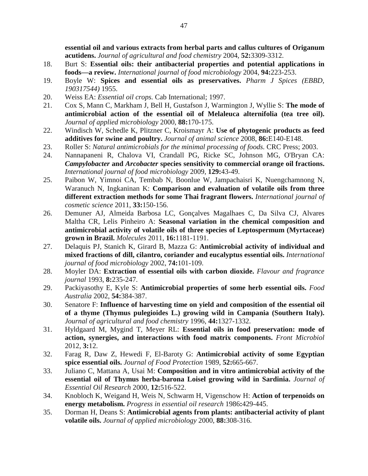**essential oil and various extracts from herbal parts and callus cultures of Origanum acutidens.** *Journal of agricultural and food chemistry* 2004, **52:**3309-3312.

- 18. Burt S: **Essential oils: their antibacterial properties and potential applications in foods—a review.** *International journal of food microbiology* 2004, **94:**223-253.
- 19. Boyle W: **Spices and essential oils as preservatives.** *Pharm J Spices (EBBD, 190317544)* 1955.
- 20. Weiss EA: *Essential oil crops.* Cab International; 1997.
- 21. Cox S, Mann C, Markham J, Bell H, Gustafson J, Warmington J, Wyllie S: **The mode of antimicrobial action of the essential oil of Melaleuca alternifolia (tea tree oil).** *Journal of applied microbiology* 2000, **88:**170-175.
- 22. Windisch W, Schedle K, Plitzner C, Kroismayr A: **Use of phytogenic products as feed additives for swine and poultry.** *Journal of animal science* 2008, **86:**E140-E148.
- 23. Roller S: *Natural antimicrobials for the minimal processing of foods.* CRC Press; 2003.
- 24. Nannapaneni R, Chalova VI, Crandall PG, Ricke SC, Johnson MG, O'Bryan CA: *Campylobacter* **and** *Arcobacter* **species sensitivity to commercial orange oil fractions.** *International journal of food microbiology* 2009, **129:**43-49.
- 25. Paibon W, Yimnoi CA, Tembab N, Boonlue W, Jampachaisri K, Nuengchamnong N, Waranuch N, Ingkaninan K: **Comparison and evaluation of volatile oils from three different extraction methods for some Thai fragrant flowers.** *International journal of cosmetic science* 2011, **33:**150-156.
- 26. Demuner AJ, Almeida Barbosa LC, Gonçalves Magalhaes C, Da Silva CJ, Alvares Maltha CR, Lelis Pinheiro A: **Seasonal variation in the chemical composition and antimicrobial activity of volatile oils of three species of Leptospermum (Myrtaceae) grown in Brazil.** *Molecules* 2011, **16:**1181-1191.
- 27. Delaquis PJ, Stanich K, Girard B, Mazza G: **Antimicrobial activity of individual and mixed fractions of dill, cilantro, coriander and eucalyptus essential oils.** *International journal of food microbiology* 2002, **74:**101-109.
- 28. Moyler DA: **Extraction of essential oils with carbon dioxide.** *Flavour and fragrance journal* 1993, **8:**235-247.
- 29. Packiyasothy E, Kyle S: **Antimicrobial properties of some herb essential oils.** *Food Australia* 2002, **54:**384-387.
- 30. Senatore F: **Influence of harvesting time on yield and composition of the essential oil of a thyme (Thymus pulegioides L.) growing wild in Campania (Southern Italy).** *Journal of agricultural and food chemistry* 1996, **44:**1327-1332.
- 31. Hyldgaard M, Mygind T, Meyer RL: **Essential oils in food preservation: mode of action, synergies, and interactions with food matrix components.** *Front Microbiol*  2012, **3:**12.
- 32. Farag R, Daw Z, Hewedi F, El-Baroty G: **Antimicrobial activity of some Egyptian spice essential oils.** *Journal of Food Protection* 1989, **52:**665-667.
- 33. Juliano C, Mattana A, Usai M: **Composition and in vitro antimicrobial activity of the essential oil of Thymus herba-barona Loisel growing wild in Sardinia.** *Journal of Essential Oil Research* 2000, **12:**516-522.
- 34. Knobloch K, Weigand H, Weis N, Schwarm H, Vigenschow H: **Action of terpenoids on energy metabolism.** *Progress in essential oil research* 1986**:**429-445.
- 35. Dorman H, Deans S: **Antimicrobial agents from plants: antibacterial activity of plant volatile oils.** *Journal of applied microbiology* 2000, **88:**308-316.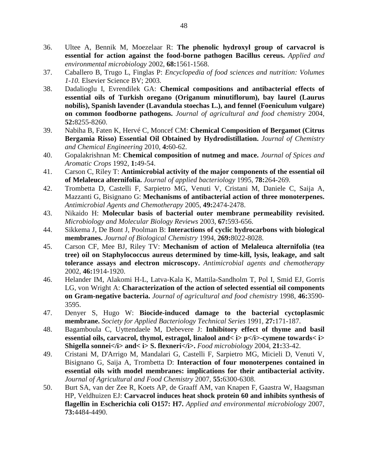- 36. Ultee A, Bennik M, Moezelaar R: **The phenolic hydroxyl group of carvacrol is essential for action against the food-borne pathogen Bacillus cereus.** *Applied and environmental microbiology* 2002, **68:**1561-1568.
- 37. Caballero B, Trugo L, Finglas P: *Encyclopedia of food sciences and nutrition: Volumes 1-10.* Elsevier Science BV; 2003.
- 38. Dadalioglu I, Evrendilek GA: **Chemical compositions and antibacterial effects of essential oils of Turkish oregano (Origanum minutiflorum), bay laurel (Laurus nobilis), Spanish lavender (Lavandula stoechas L.), and fennel (Foeniculum vulgare) on common foodborne pathogens.** *Journal of agricultural and food chemistry* 2004, **52:**8255-8260.
- 39. Nabiha B, Faten K, Hervé C, Moncef CM: **Chemical Composition of Bergamot (Citrus Bergamia Risso) Essential Oil Obtained by Hydrodistillation.** *Journal of Chemistry and Chemical Engineering* 2010, **4:**60-62.
- 40. Gopalakrishnan M: **Chemical composition of nutmeg and mace.** *Journal of Spices and Aromatic Crops* 1992, **1:**49-54.
- 41. Carson C, Riley T: **Antimicrobial activity of the major components of the essential oil of Melaleuca alternifolia.** *Journal of applied bacteriology* 1995, **78:**264-269.
- 42. Trombetta D, Castelli F, Sarpietro MG, Venuti V, Cristani M, Daniele C, Saija A, Mazzanti G, Bisignano G: **Mechanisms of antibacterial action of three monoterpenes.** *Antimicrobial Agents and Chemotherapy* 2005, **49:**2474-2478.
- 43. Nikaido H: **Molecular basis of bacterial outer membrane permeability revisited.** *Microbiology and Molecular Biology Reviews* 2003, **67:**593-656.
- 44. Sikkema J, De Bont J, Poolman B: **Interactions of cyclic hydrocarbons with biological membranes.** *Journal of Biological Chemistry* 1994, **269:**8022-8028.
- 45. Carson CF, Mee BJ, Riley TV: **Mechanism of action of Melaleuca alternifolia (tea tree) oil on Staphylococcus aureus determined by time-kill, lysis, leakage, and salt tolerance assays and electron microscopy.** *Antimicrobial agents and chemotherapy*  2002, **46:**1914-1920.
- 46. Helander IM, Alakomi H-L, Latva-Kala K, Mattila-Sandholm T, Pol I, Smid EJ, Gorris LG, von Wright A: **Characterization of the action of selected essential oil components on Gram-negative bacteria.** *Journal of agricultural and food chemistry* 1998, **46:**3590- 3595.
- 47. Denyer S, Hugo W: **Biocide-induced damage to the bacterial cyctoplasmic membrane.** *Society for Applied Bacteriology Technical Series* 1991, **27:**171-187.
- 48. Bagamboula C, Uyttendaele M, Debevere J: **Inhibitory effect of thyme and basil essential oils, carvacrol, thymol, estragol, linalool and**  $\lt$  **i> p** $\lt$ **/i>-cymene towards** $\lt$  **i> Shigella sonnei</i> and< i> S. flexneri</i>>** $\geq$ *Food microbiology* **2004, 21:33-42.**
- 49. Cristani M, D'Arrigo M, Mandalari G, Castelli F, Sarpietro MG, Micieli D, Venuti V, Bisignano G, Saija A, Trombetta D: **Interaction of four monoterpenes contained in essential oils with model membranes: implications for their antibacterial activity.** *Journal of Agricultural and Food Chemistry* 2007, **55:**6300-6308.
- 50. Burt SA, van der Zee R, Koets AP, de Graaff AM, van Knapen F, Gaastra W, Haagsman HP, Veldhuizen EJ: **Carvacrol induces heat shock protein 60 and inhibits synthesis of flagellin in Escherichia coli O157: H7.** *Applied and environmental microbiology* 2007, **73:**4484-4490.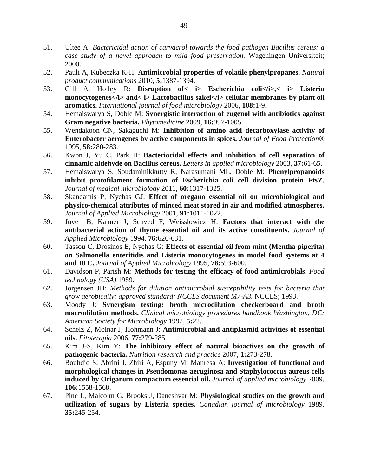- 51. Ultee A: *Bactericidal action of carvacrol towards the food pathogen Bacillus cereus: a case study of a novel approach to mild food preservation.* Wageningen Universiteit; 2000.
- 52. Pauli A, Kubeczka K-H: **Antimicrobial properties of volatile phenylpropanes.** *Natural product communications* 2010, **5:**1387-1394.
- 53. Gill A, Holley R: **Disruption of< i> Escherichia coli</i>,< i> Listeria**  monocytogenes</i> and< i> Lactobacillus sakei</i></i> cellular membranes by plant oil **aromatics.** *International journal of food microbiology* 2006, **108:**1-9.
- 54. Hemaiswarya S, Doble M: **Synergistic interaction of eugenol with antibiotics against Gram negative bacteria.** *Phytomedicine* 2009, **16:**997-1005.
- 55. Wendakoon CN, Sakaguchi M: **Inhibition of amino acid decarboxylase activity of Enterobacter aerogenes by active components in spices.** *Journal of Food Protection®*  1995, **58:**280-283.
- 56. Kwon J, Yu C, Park H: **Bacteriocidal effects and inhibition of cell separation of cinnamic aldehyde on Bacillus cereus.** *Letters in applied microbiology* 2003, **37:**61-65.
- 57. Hemaiswarya S, Soudaminikkutty R, Narasumani ML, Doble M: **Phenylpropanoids inhibit protofilament formation of Escherichia coli cell division protein FtsZ.** *Journal of medical microbiology* 2011, **60:**1317-1325.
- 58. Skandamis P, Nychas GJ: **Effect of oregano essential oil on microbiological and physico**‐**chemical attributes of minced meat stored in air and modified atmospheres.** *Journal of Applied Microbiology* 2001, **91:**1011-1022.
- 59. Juven B, Kanner J, Schved F, Weisslowicz H: **Factors that interact with the antibacterial action of thyme essential oil and its active constituents.** *Journal of Applied Microbiology* 1994, **76:**626-631.
- 60. Tassou C, Drosinos E, Nychas G: **Effects of essential oil from mint (Mentha piperita) on Salmonella enteritidis and Listeria monocytogenes in model food systems at 4 and 10 C.** *Journal of Applied Microbiology* 1995, **78:**593-600.
- 61. Davidson P, Parish M: **Methods for testing the efficacy of food antimicrobials.** *Food technology (USA)* 1989.
- 62. Jorgensen JH: *Methods for dilution antimicrobial susceptibility tests for bacteria that grow aerobically: approved standard: NCCLS document M7-A3.* NCCLS; 1993.
- 63. Moody J: **Synergism testing: broth microdilution checkerboard and broth macrodilution methods.** *Clinical microbiology procedures handbook Washington, DC: American Society for Microbiology* 1992, **5:**22.
- 64. Schelz Z, Molnar J, Hohmann J: **Antimicrobial and antiplasmid activities of essential oils.** *Fitoterapia* 2006, **77:**279-285.
- 65. Kim J-S, Kim Y: **The inhibitory effect of natural bioactives on the growth of pathogenic bacteria.** *Nutrition research and practice* 2007, **1:**273-278.
- 66. Bouhdid S, Abrini J, Zhiri A, Espuny M, Manresa A: **Investigation of functional and morphological changes in Pseudomonas aeruginosa and Staphylococcus aureus cells induced by Origanum compactum essential oil.** *Journal of applied microbiology* 2009, **106:**1558-1568.
- 67. Pine L, Malcolm G, Brooks J, Daneshvar M: **Physiological studies on the growth and utilization of sugars by Listeria species.** *Canadian journal of microbiology* 1989, **35:**245-254.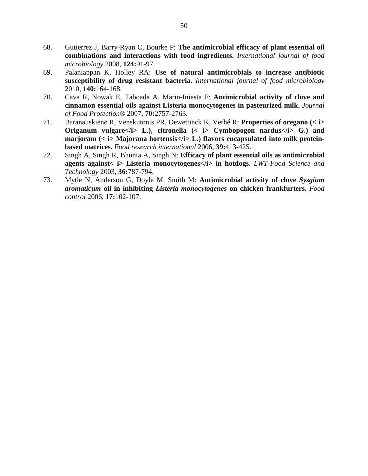- 68. Gutierrez J, Barry-Ryan C, Bourke P: **The antimicrobial efficacy of plant essential oil combinations and interactions with food ingredients.** *International journal of food microbiology* 2008, **124:**91-97.
- 69. Palaniappan K, Holley RA: **Use of natural antimicrobials to increase antibiotic susceptibility of drug resistant bacteria.** *International journal of food microbiology*  2010, **140:**164-168.
- 70. Cava R, Nowak E, Taboada A, Marin-Iniesta F: **Antimicrobial activity of clove and cinnamon essential oils against Listeria monocytogenes in pasteurized milk.** *Journal of Food Protection®* 2007, **70:**2757-2763.
- 71. Baranauskienė R, Venskutonis PR, Dewettinck K, Verhé R: **Properties of oregano** (< i> **Origanum vulgare**  $\langle i \rangle$  **L.**), citronella ( $\langle i \rangle$  **Cymbopogon nardus**  $\langle i \rangle$  **G.**) and marjoram (< i> Majorana hortensis</i> L.) flavors encapsulated into milk protein**based matrices.** *Food research international* 2006, **39:**413-425.
- 72. Singh A, Singh R, Bhunia A, Singh N: **Efficacy of plant essential oils as antimicrobial agents against< i> Listeria monocytogenes</i> in hotdogs.** *LWT-Food Science and Technology* 2003, **36:**787-794.
- 73. Mytle N, Anderson G, Doyle M, Smith M: **Antimicrobial activity of clove** *Syzgium aromaticum* **oil in inhibiting** *Listeria monocytogenes* **on chicken frankfurters.** *Food control* 2006, **17:**102-107.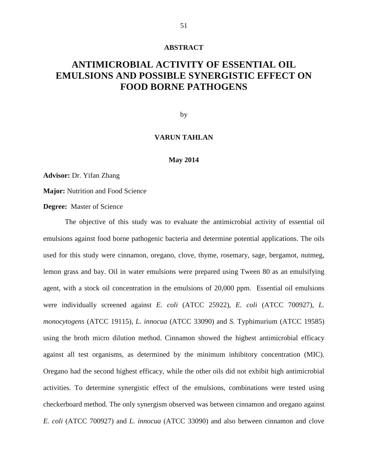#### **ABSTRACT**

## **ANTIMICROBIAL ACTIVITY OF ESSENTIAL OIL EMULSIONS AND POSSIBLE SYNERGISTIC EFFECT ON FOOD BORNE PATHOGENS**

by

#### **VARUN TAHLAN**

#### **May 2014**

**Advisor:** Dr. Yifan Zhang

**Major:** Nutrition and Food Science

#### **Degree:** Master of Science

The objective of this study was to evaluate the antimicrobial activity of essential oil emulsions against food borne pathogenic bacteria and determine potential applications. The oils used for this study were cinnamon, oregano, clove, thyme, rosemary, sage, bergamot, nutmeg, lemon grass and bay. Oil in water emulsions were prepared using Tween 80 as an emulsifying agent, with a stock oil concentration in the emulsions of 20,000 ppm. Essential oil emulsions were individually screened against *E. coli* (ATCC 25922), *E. coli* (ATCC 700927), *L. monocytogens* (ATCC 19115), *L. innocua* (ATCC 33090) and *S.* Typhimurium (ATCC 19585) using the broth micro dilution method. Cinnamon showed the highest antimicrobial efficacy against all test organisms, as determined by the minimum inhibitory concentration (MIC). Oregano had the second highest efficacy, while the other oils did not exhibit high antimicrobial activities. To determine synergistic effect of the emulsions, combinations were tested using checkerboard method. The only synergism observed was between cinnamon and oregano against *E. coli* (ATCC 700927) and *L. innocua* (ATCC 33090) and also between cinnamon and clove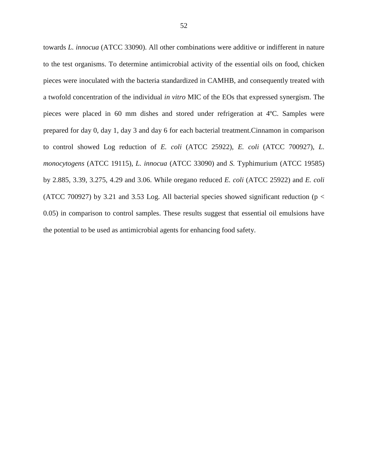towards *L. innocua* (ATCC 33090). All other combinations were additive or indifferent in nature to the test organisms. To determine antimicrobial activity of the essential oils on food, chicken pieces were inoculated with the bacteria standardized in CAMHB, and consequently treated with a twofold concentration of the individual *in vitro* MIC of the EOs that expressed synergism. The pieces were placed in 60 mm dishes and stored under refrigeration at 4ºC. Samples were prepared for day 0, day 1, day 3 and day 6 for each bacterial treatment.Cinnamon in comparison to control showed Log reduction of *E. coli* (ATCC 25922), *E. coli* (ATCC 700927), *L. monocytogens* (ATCC 19115), *L. innocua* (ATCC 33090) and *S.* Typhimurium (ATCC 19585) by 2.885, 3.39, 3.275, 4.29 and 3.06. While oregano reduced *E. coli* (ATCC 25922) and *E. coli* (ATCC 700927) by 3.21 and 3.53 Log. All bacterial species showed significant reduction ( $p <$ 0.05) in comparison to control samples. These results suggest that essential oil emulsions have the potential to be used as antimicrobial agents for enhancing food safety.